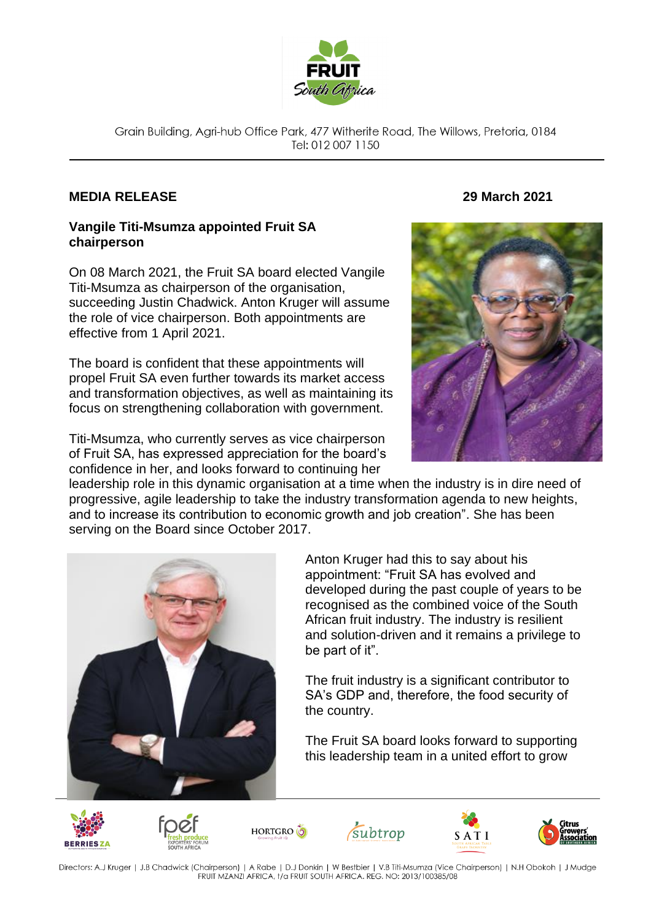

Grain Building, Agri-hub Office Park, 477 Witherite Road, The Willows, Pretoria, 0184 Tel: 012 007 1150

## **MEDIA RELEASE 29 March 2021**

## **Vangile Titi-Msumza appointed Fruit SA chairperson**

On 08 March 2021, the Fruit SA board elected Vangile Titi-Msumza as chairperson of the organisation, succeeding Justin Chadwick. Anton Kruger will assume the role of vice chairperson. Both appointments are effective from 1 April 2021.

The board is confident that these appointments will propel Fruit SA even further towards its market access and transformation objectives, as well as maintaining its focus on strengthening collaboration with government.

Titi-Msumza, who currently serves as vice chairperson of Fruit SA, has expressed appreciation for the board's confidence in her, and looks forward to continuing her



leadership role in this dynamic organisation at a time when the industry is in dire need of progressive, agile leadership to take the industry transformation agenda to new heights, and to increase its contribution to economic growth and job creation". She has been serving on the Board since October 2017.



Anton Kruger had this to say about his appointment: "Fruit SA has evolved and developed during the past couple of years to be recognised as the combined voice of the South African fruit industry. The industry is resilient and solution-driven and it remains a privilege to be part of it".

The fruit industry is a significant contributor to SA's GDP and, therefore, the food security of the country.

The Fruit SA board looks forward to supporting this leadership team in a united effort to grow













Directors: A.J Kruger | J.B Chadwick (Chairperson) | A Rabe | D.J Donkin | W Bestbier | V.B Titi-Msumza (Vice Chairperson) | N.H Obokoh | J Mudge FRUIT MZANZI AFRICA, t/a FRUIT SOUTH AFRICA. REG. NO: 2013/100385/08